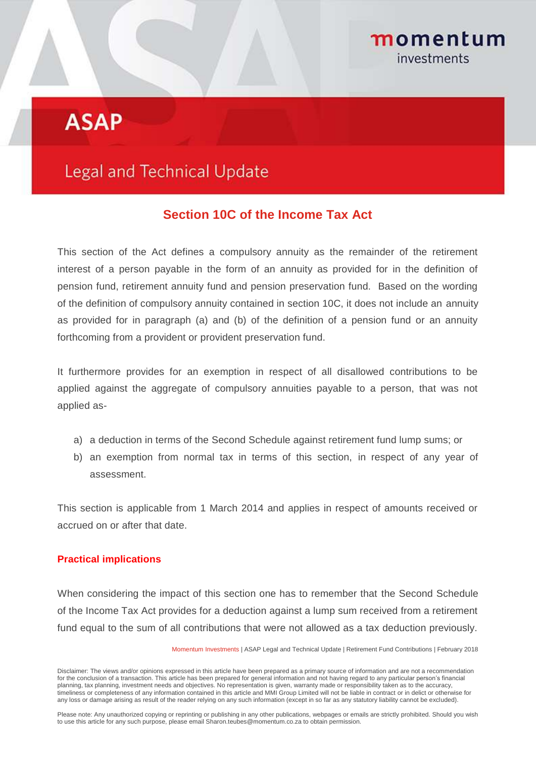## momentum investments

# **ASAP**

## **Legal and Technical Update**

### **Section 10C of the Income Tax Act**

This section of the Act defines a compulsory annuity as the remainder of the retirement interest of a person payable in the form of an annuity as provided for in the definition of pension fund, retirement annuity fund and pension preservation fund. Based on the wording of the definition of compulsory annuity contained in section 10C, it does not include an annuity as provided for in paragraph (a) and (b) of the definition of a pension fund or an annuity forthcoming from a provident or provident preservation fund.

It furthermore provides for an exemption in respect of all disallowed contributions to be applied against the aggregate of compulsory annuities payable to a person, that was not applied as-

- a) a deduction in terms of the Second Schedule against retirement fund lump sums; or
- b) an exemption from normal tax in terms of this section, in respect of any year of assessment.

This section is applicable from 1 March 2014 and applies in respect of amounts received or accrued on or after that date.

#### **Practical implications**

When considering the impact of this section one has to remember that the Second Schedule of the Income Tax Act provides for a deduction against a lump sum received from a retirement fund equal to the sum of all contributions that were not allowed as a tax deduction previously.

Momentum Investments | ASAP Legal and Technical Update | Retirement Fund Contributions | February 2018

Disclaimer: The views and/or opinions expressed in this article have been prepared as a primary source of information and are not a recommendation for the conclusion of a transaction. This article has been prepared for general information and not having regard to any particular person's financial planning, tax planning, investment needs and objectives. No representation is given, warranty made or responsibility taken as to the accuracy, timeliness or completeness of any information contained in this article and MMI Group Limited will not be liable in contract or in delict or otherwise for any loss or damage arising as result of the reader relying on any such information (except in so far as any statutory liability cannot be excluded).

Please note: Any unauthorized copying or reprinting or publishing in any other publications, webpages or emails are strictly prohibited. Should you wish to use this article for any such purpose, please email Sharon.teubes@momentum.co.za to obtain permission.